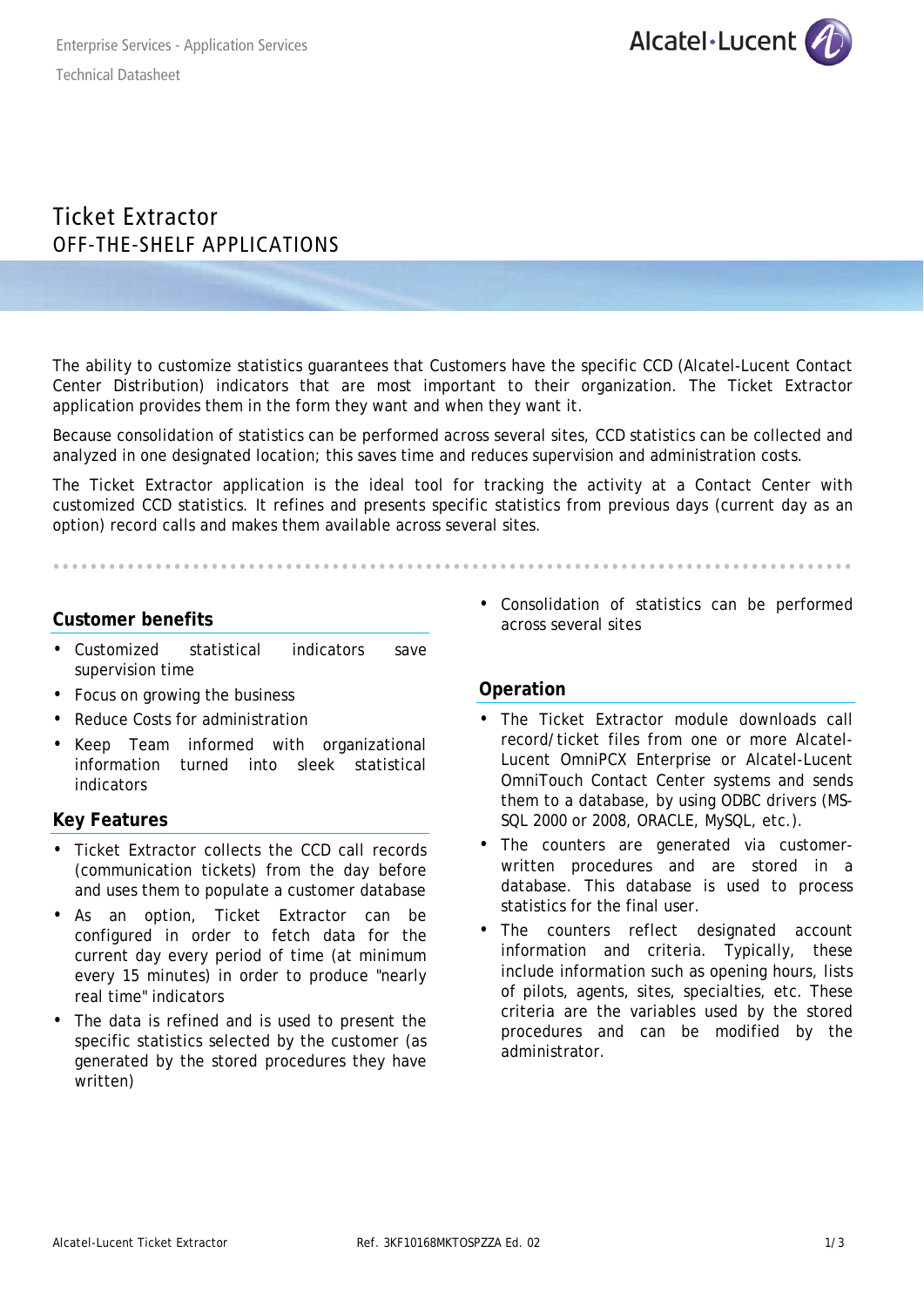

# Ticket Extractor OFF-THE-SHELF APPLICATIONS

The ability to customize statistics guarantees that Customers have the specific CCD (Alcatel-Lucent Contact Center Distribution) indicators that are most important to their organization. The Ticket Extractor application provides them in the form they want and when they want it.

Because consolidation of statistics can be performed across several sites, CCD statistics can be collected and analyzed in one designated location; this saves time and reduces supervision and administration costs.

The Ticket Extractor application is the ideal tool for tracking the activity at a Contact Center with customized CCD statistics. It refines and presents specific statistics from previous days (current day as an option) record calls and makes them available across several sites.

## **Customer benefits**

- Customized statistical indicators save supervision time
- Focus on growing the business
- Reduce Costs for administration
- Keep Team informed with organizational information turned into sleek statistical indicators

## **Key Features**

- Ticket Extractor collects the CCD call records (communication tickets) from the day before and uses them to populate a customer database
- As an option, Ticket Extractor can be configured in order to fetch data for the current day every period of time (at minimum every 15 minutes) in order to produce "nearly real time" indicators
- The data is refined and is used to present the specific statistics selected by the customer (as generated by the stored procedures they have written)

• Consolidation of statistics can be performed across several sites

## **Operation**

- The Ticket Extractor module downloads call record/ticket files from one or more Alcatel-Lucent OmniPCX Enterprise or Alcatel-Lucent OmniTouch Contact Center systems and sends them to a database, by using ODBC drivers (MS-SQL 2000 or 2008, ORACLE, MySQL, etc.).
- The counters are generated via customerwritten procedures and are stored in a database. This database is used to process statistics for the final user.
- The counters reflect designated account information and criteria. Typically, these include information such as opening hours, lists of pilots, agents, sites, specialties, etc. These criteria are the variables used by the stored procedures and can be modified by the administrator.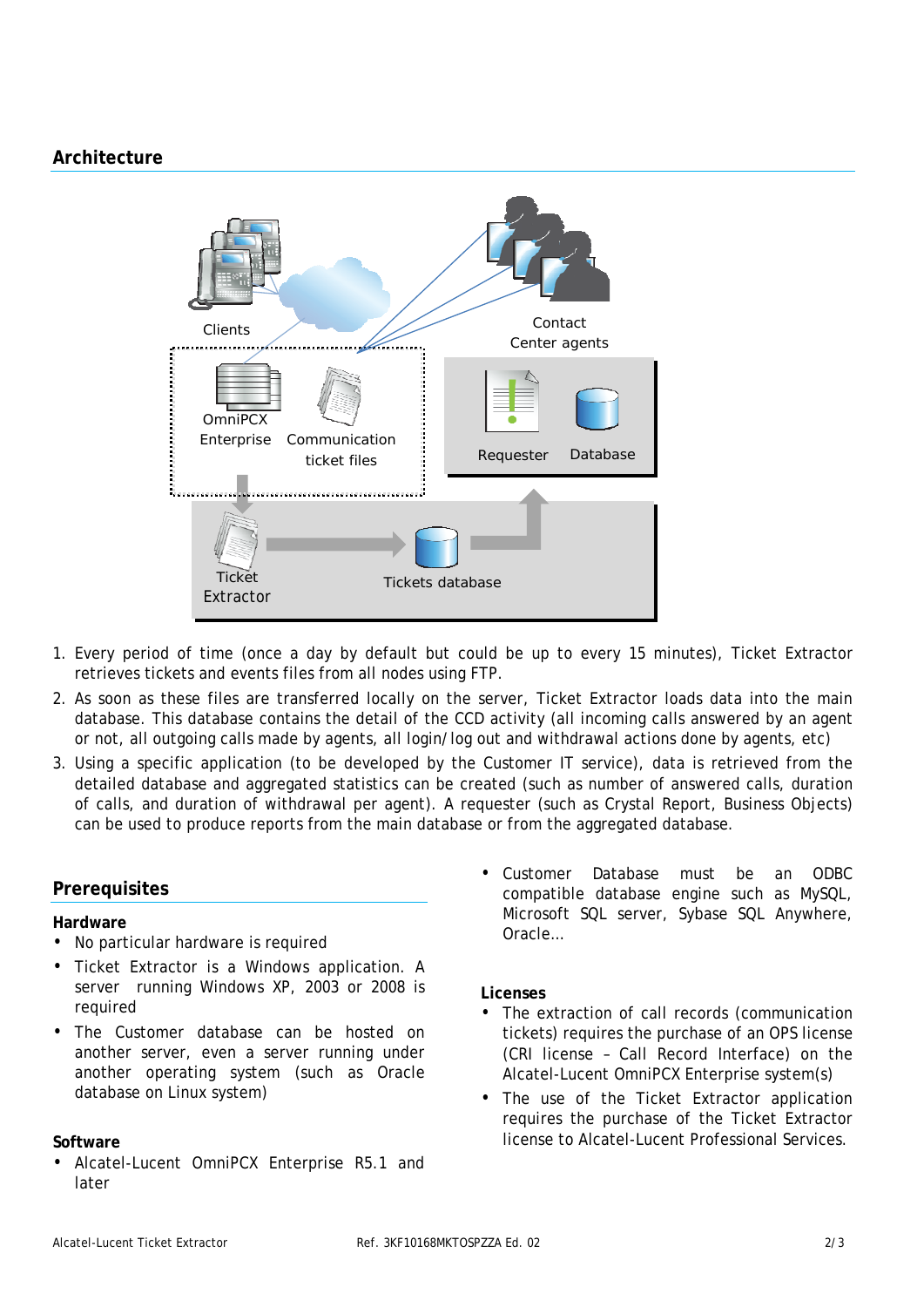## **Architecture**



- 1. Every period of time (once a day by default but could be up to every 15 minutes), Ticket Extractor retrieves tickets and events files from all nodes using FTP.
- 2. As soon as these files are transferred locally on the server, Ticket Extractor loads data into the main database. This database contains the detail of the CCD activity (all incoming calls answered by an agent or not, all outgoing calls made by agents, all login/log out and withdrawal actions done by agents, etc)
- 3. Using a specific application (to be developed by the Customer IT service), data is retrieved from the detailed database and aggregated statistics can be created (such as number of answered calls, duration of calls, and duration of withdrawal per agent). A requester (such as Crystal Report, Business Objects) can be used to produce reports from the main database or from the aggregated database.

## **Prerequisites**

#### **Hardware**

- No particular hardware is required
- Ticket Extractor is a Windows application. A server running Windows XP, 2003 or 2008 is required
- The Customer database can be hosted on another server, even a server running under another operating system (such as Oracle database on Linux system)

#### **Software**

• Alcatel-Lucent OmniPCX Enterprise R5.1 and later

• Customer Database must be an ODBC compatible database engine such as MySQL, Microsoft SQL server, Sybase SQL Anywhere, Oracle…

#### **Licenses**

- The extraction of call records (communication tickets) requires the purchase of an OPS license (CRI license – Call Record Interface) on the Alcatel-Lucent OmniPCX Enterprise system(s)
- The use of the Ticket Extractor application requires the purchase of the Ticket Extractor license to Alcatel-Lucent Professional Services.